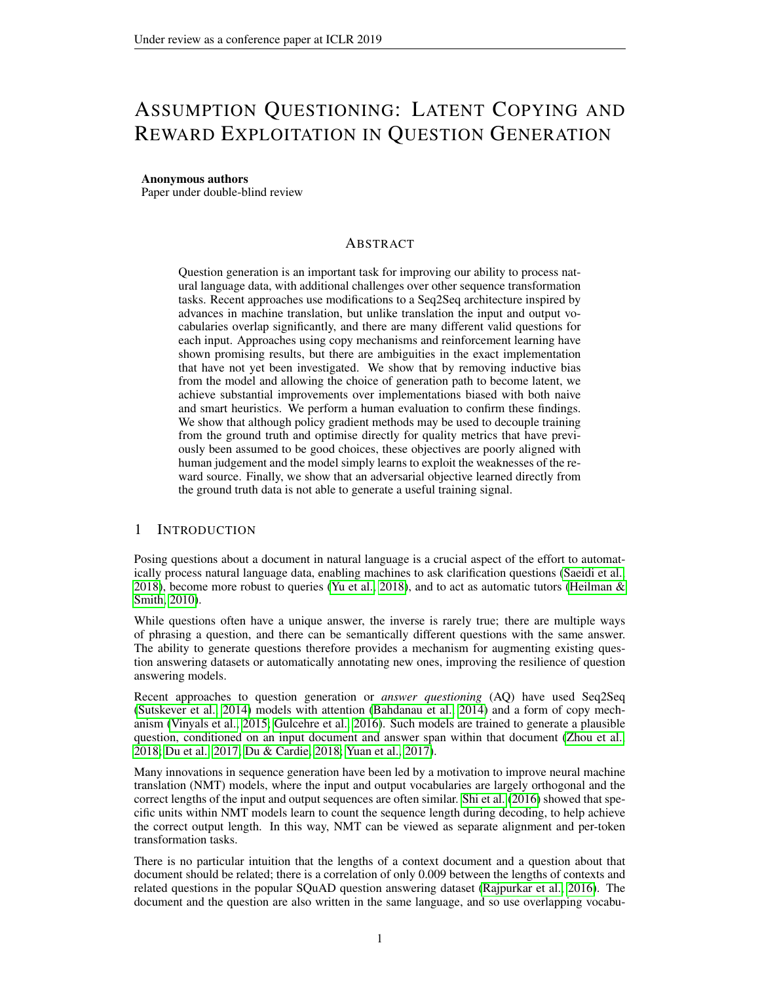# ASSUMPTION QUESTIONING: LATENT COPYING AND REWARD EXPLOITATION IN QUESTION GENERATION

#### Anonymous authors

Paper under double-blind review

#### **ABSTRACT**

Question generation is an important task for improving our ability to process natural language data, with additional challenges over other sequence transformation tasks. Recent approaches use modifications to a Seq2Seq architecture inspired by advances in machine translation, but unlike translation the input and output vocabularies overlap significantly, and there are many different valid questions for each input. Approaches using copy mechanisms and reinforcement learning have shown promising results, but there are ambiguities in the exact implementation that have not yet been investigated. We show that by removing inductive bias from the model and allowing the choice of generation path to become latent, we achieve substantial improvements over implementations biased with both naive and smart heuristics. We perform a human evaluation to confirm these findings. We show that although policy gradient methods may be used to decouple training from the ground truth and optimise directly for quality metrics that have previously been assumed to be good choices, these objectives are poorly aligned with human judgement and the model simply learns to exploit the weaknesses of the reward source. Finally, we show that an adversarial objective learned directly from the ground truth data is not able to generate a useful training signal.

# 1 INTRODUCTION

Posing questions about a document in natural language is a crucial aspect of the effort to automatically process natural language data, enabling machines to ask clarification questions [\(Saeidi et al.,](#page-10-0) [2018\)](#page-10-0), become more robust to queries [\(Yu et al., 2018\)](#page-11-0), and to act as automatic tutors (Heilman  $\&$ [Smith, 2010\)](#page-9-0).

While questions often have a unique answer, the inverse is rarely true; there are multiple ways of phrasing a question, and there can be semantically different questions with the same answer. The ability to generate questions therefore provides a mechanism for augmenting existing question answering datasets or automatically annotating new ones, improving the resilience of question answering models.

Recent approaches to question generation or *answer questioning* (AQ) have used Seq2Seq [\(Sutskever et al., 2014\)](#page-11-1) models with attention [\(Bahdanau et al., 2014\)](#page-8-0) and a form of copy mechanism [\(Vinyals et al., 2015;](#page-11-2) [Gulcehre et al., 2016\)](#page-9-1). Such models are trained to generate a plausible question, conditioned on an input document and answer span within that document [\(Zhou et al.,](#page-12-0) [2018;](#page-12-0) [Du et al., 2017;](#page-8-1) [Du & Cardie, 2018;](#page-8-2) [Yuan et al., 2017\)](#page-11-3).

Many innovations in sequence generation have been led by a motivation to improve neural machine translation (NMT) models, where the input and output vocabularies are largely orthogonal and the correct lengths of the input and output sequences are often similar. [Shi et al.](#page-11-4) [\(2016\)](#page-11-4) showed that specific units within NMT models learn to count the sequence length during decoding, to help achieve the correct output length. In this way, NMT can be viewed as separate alignment and per-token transformation tasks.

There is no particular intuition that the lengths of a context document and a question about that document should be related; there is a correlation of only 0.009 between the lengths of contexts and related questions in the popular SQuAD question answering dataset [\(Rajpurkar et al., 2016\)](#page-10-1). The document and the question are also written in the same language, and so use overlapping vocabu-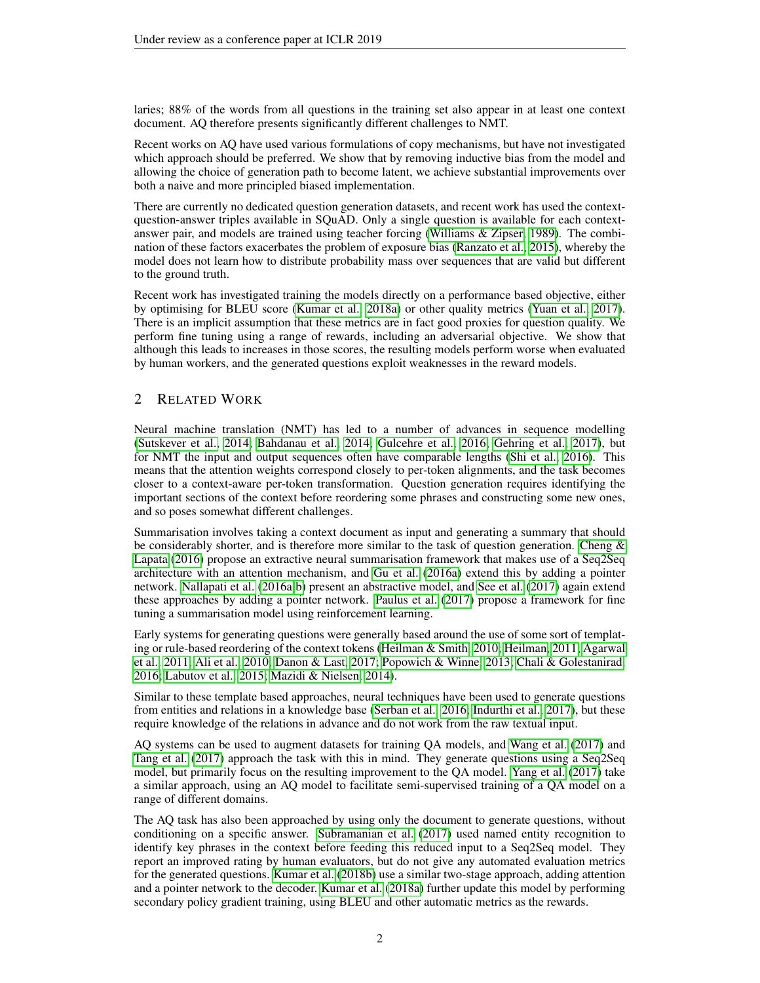laries; 88% of the words from all questions in the training set also appear in at least one context document. AQ therefore presents significantly different challenges to NMT.

Recent works on AQ have used various formulations of copy mechanisms, but have not investigated which approach should be preferred. We show that by removing inductive bias from the model and allowing the choice of generation path to become latent, we achieve substantial improvements over both a naive and more principled biased implementation.

There are currently no dedicated question generation datasets, and recent work has used the contextquestion-answer triples available in SQuAD. Only a single question is available for each contextanswer pair, and models are trained using teacher forcing [\(Williams & Zipser, 1989\)](#page-11-5). The combination of these factors exacerbates the problem of exposure bias [\(Ranzato et al., 2015\)](#page-10-2), whereby the model does not learn how to distribute probability mass over sequences that are valid but different to the ground truth.

Recent work has investigated training the models directly on a performance based objective, either by optimising for BLEU score [\(Kumar et al., 2018a\)](#page-9-2) or other quality metrics [\(Yuan et al., 2017\)](#page-11-3). There is an implicit assumption that these metrics are in fact good proxies for question quality. We perform fine tuning using a range of rewards, including an adversarial objective. We show that although this leads to increases in those scores, the resulting models perform worse when evaluated by human workers, and the generated questions exploit weaknesses in the reward models.

# 2 RELATED WORK

Neural machine translation (NMT) has led to a number of advances in sequence modelling [\(Sutskever et al., 2014;](#page-11-1) [Bahdanau et al., 2014;](#page-8-0) [Gulcehre et al., 2016;](#page-9-1) [Gehring et al., 2017\)](#page-8-3), but for NMT the input and output sequences often have comparable lengths [\(Shi et al., 2016\)](#page-11-4). This means that the attention weights correspond closely to per-token alignments, and the task becomes closer to a context-aware per-token transformation. Question generation requires identifying the important sections of the context before reordering some phrases and constructing some new ones, and so poses somewhat different challenges.

Summarisation involves taking a context document as input and generating a summary that should be considerably shorter, and is therefore more similar to the task of question generation. Cheng  $\&$ [Lapata](#page-8-4) [\(2016\)](#page-8-4) propose an extractive neural summarisation framework that makes use of a Seq2Seq architecture with an attention mechanism, and [Gu et al.](#page-9-3) [\(2016a\)](#page-9-3) extend this by adding a pointer network. [Nallapati et al.](#page-10-3) [\(2016a](#page-10-3)[;b\)](#page-10-4) present an abstractive model, and [See et al.](#page-10-5) [\(2017\)](#page-10-5) again extend these approaches by adding a pointer network. [Paulus et al.](#page-10-6) [\(2017\)](#page-10-6) propose a framework for fine tuning a summarisation model using reinforcement learning.

Early systems for generating questions were generally based around the use of some sort of templating or rule-based reordering of the context tokens [\(Heilman & Smith, 2010;](#page-9-0) [Heilman, 2011;](#page-9-4) [Agarwal](#page-8-5) [et al., 2011;](#page-8-5) [Ali et al., 2010;](#page-8-6) [Danon & Last, 2017;](#page-8-7) [Popowich & Winne, 2013;](#page-10-7) [Chali & Golestanirad,](#page-8-8) [2016;](#page-8-8) [Labutov et al., 2015;](#page-10-8) [Mazidi & Nielsen, 2014\)](#page-10-9).

Similar to these template based approaches, neural techniques have been used to generate questions from entities and relations in a knowledge base [\(Serban et al., 2016;](#page-10-10) [Indurthi et al., 2017\)](#page-9-5), but these require knowledge of the relations in advance and do not work from the raw textual input.

AQ systems can be used to augment datasets for training QA models, and [Wang et al.](#page-11-6) [\(2017\)](#page-11-6) and [Tang et al.](#page-11-7) [\(2017\)](#page-11-7) approach the task with this in mind. They generate questions using a Seq2Seq model, but primarily focus on the resulting improvement to the QA model. [Yang et al.](#page-11-8) [\(2017\)](#page-11-8) take a similar approach, using an AQ model to facilitate semi-supervised training of a QA model on a range of different domains.

The AQ task has also been approached by using only the document to generate questions, without conditioning on a specific answer. [Subramanian et al.](#page-11-9) [\(2017\)](#page-11-9) used named entity recognition to identify key phrases in the context before feeding this reduced input to a Seq2Seq model. They report an improved rating by human evaluators, but do not give any automated evaluation metrics for the generated questions. [Kumar et al.](#page-9-6) [\(2018b\)](#page-9-6) use a similar two-stage approach, adding attention and a pointer network to the decoder. [Kumar et al.](#page-9-2) [\(2018a\)](#page-9-2) further update this model by performing secondary policy gradient training, using BLEU and other automatic metrics as the rewards.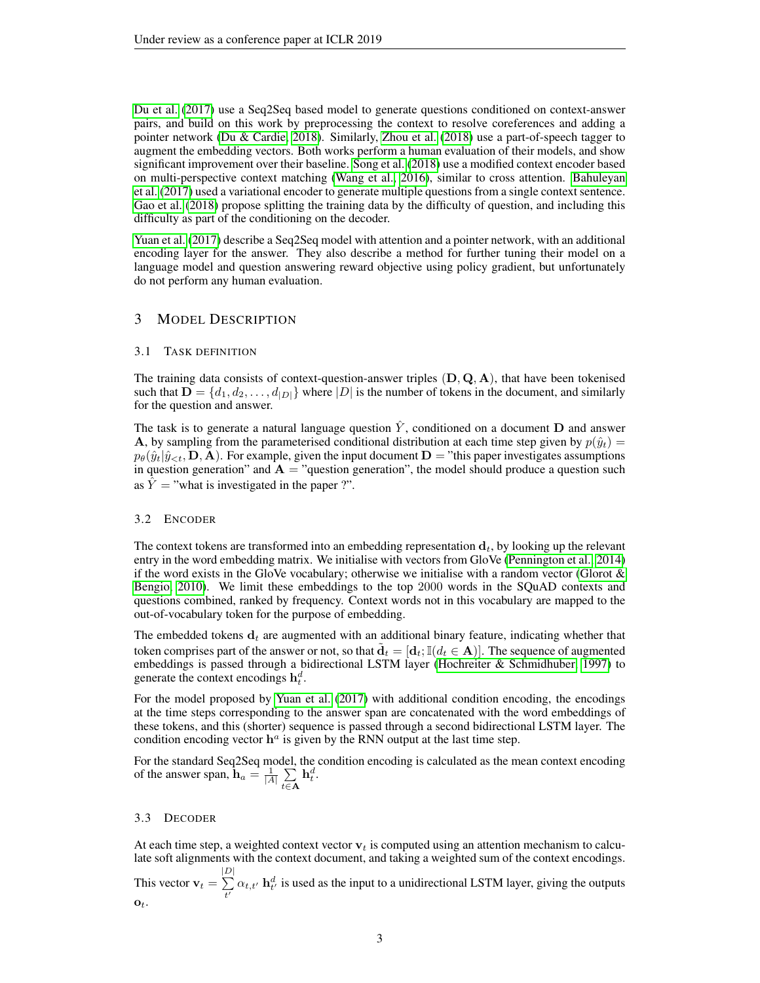[Du et al.](#page-8-1) [\(2017\)](#page-8-1) use a Seq2Seq based model to generate questions conditioned on context-answer pairs, and build on this work by preprocessing the context to resolve coreferences and adding a pointer network [\(Du & Cardie, 2018\)](#page-8-2). Similarly, [Zhou et al.](#page-12-0) [\(2018\)](#page-12-0) use a part-of-speech tagger to augment the embedding vectors. Both works perform a human evaluation of their models, and show significant improvement over their baseline. [Song et al.](#page-11-10) [\(2018\)](#page-11-10) use a modified context encoder based on multi-perspective context matching [\(Wang et al., 2016\)](#page-11-11), similar to cross attention. [Bahuleyan](#page-8-9) [et al.](#page-8-9) [\(2017\)](#page-8-9) used a variational encoder to generate multiple questions from a single context sentence. [Gao et al.](#page-8-10) [\(2018\)](#page-8-10) propose splitting the training data by the difficulty of question, and including this difficulty as part of the conditioning on the decoder.

[Yuan et al.](#page-11-3) [\(2017\)](#page-11-3) describe a Seq2Seq model with attention and a pointer network, with an additional encoding layer for the answer. They also describe a method for further tuning their model on a language model and question answering reward objective using policy gradient, but unfortunately do not perform any human evaluation.

# 3 MODEL DESCRIPTION

#### 3.1 TASK DEFINITION

The training data consists of context-question-answer triples  $(D, Q, A)$ , that have been tokenised such that  $\mathbf{D} = \{d_1, d_2, \dots, d_{|D|}\}\$  where  $|D|$  is the number of tokens in the document, and similarly for the question and answer.

The task is to generate a natural language question  $\hat{Y}$ , conditioned on a document **D** and answer A, by sampling from the parameterised conditional distribution at each time step given by  $p(\hat{y}_t)$  =  $p_{\theta}(\hat{y}_t|\hat{y}_{\leq t}, \mathbf{D}, \mathbf{A})$ . For example, given the input document  $\mathbf{D} =$ "this paper investigates assumptions in question generation" and  $\mathbf{A} =$  "question generation", the model should produce a question such as  $\hat{Y}$  = "what is investigated in the paper ?".

# 3.2 ENCODER

The context tokens are transformed into an embedding representation  $d_t$ , by looking up the relevant entry in the word embedding matrix. We initialise with vectors from GloVe [\(Pennington et al., 2014\)](#page-10-11) if the word exists in the GloVe vocabulary; otherwise we initialise with a random vector (Glorot  $\&$ [Bengio, 2010\)](#page-8-11). We limit these embeddings to the top 2000 words in the SQuAD contexts and questions combined, ranked by frequency. Context words not in this vocabulary are mapped to the out-of-vocabulary token for the purpose of embedding.

The embedded tokens  $d_t$  are augmented with an additional binary feature, indicating whether that token comprises part of the answer or not, so that  $\tilde{\mathbf{d}}_t = [\mathbf{d}_t; \mathbb{I}(d_t \in \mathbf{A})]$ . The sequence of augmented embeddings is passed through a bidirectional LSTM layer [\(Hochreiter & Schmidhuber, 1997\)](#page-9-7) to generate the context encodings  $h_t^d$ .

For the model proposed by [Yuan et al.](#page-11-3) [\(2017\)](#page-11-3) with additional condition encoding, the encodings at the time steps corresponding to the answer span are concatenated with the word embeddings of these tokens, and this (shorter) sequence is passed through a second bidirectional LSTM layer. The condition encoding vector  $h^a$  is given by the RNN output at the last time step.

For the standard Seq2Seq model, the condition encoding is calculated as the mean context encoding of the answer span,  $\mathbf{h}_a = \frac{1}{|A|} \sum_{n=1}^{\infty}$  $t \in \mathbf{A}$  $\mathbf{h}_t^d.$ 

#### 3.3 DECODER

At each time step, a weighted context vector  $v_t$  is computed using an attention mechanism to calculate soft alignments with the context document, and taking a weighted sum of the context encodings.

This vector  $v_t =$  $\frac{|D|}{\sum}$  $\sum_{t'} \alpha_{t,t'} \mathbf{h}_{t'}^d$  is used as the input to a unidirectional LSTM layer, giving the outputs  $\mathbf{o}_t$ .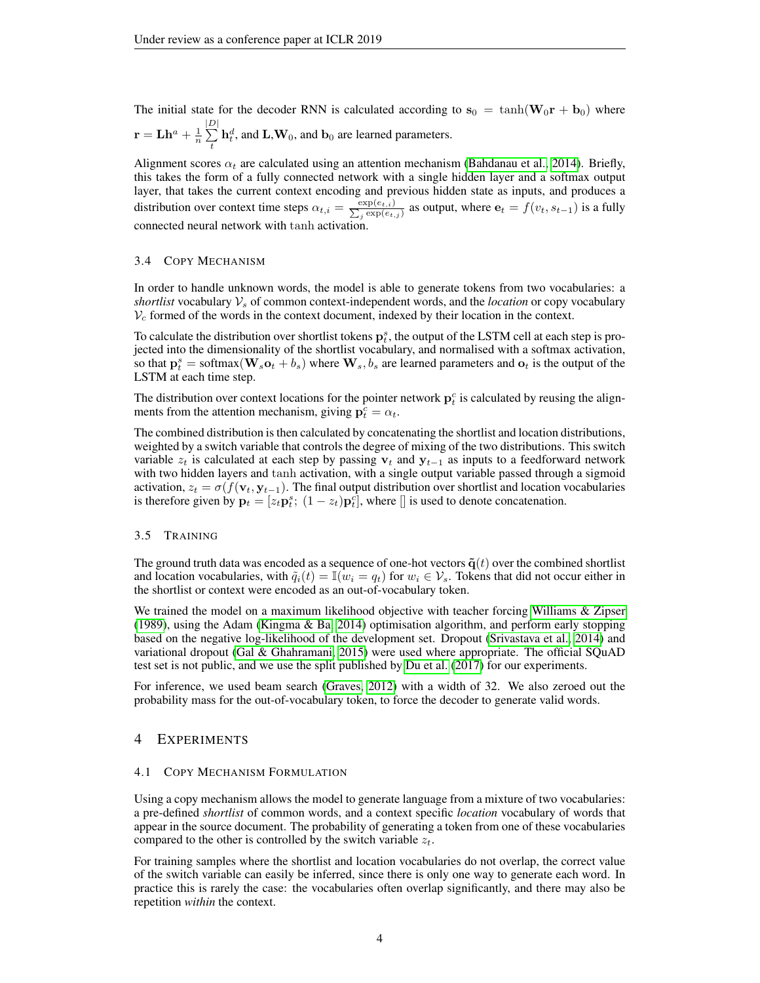The initial state for the decoder RNN is calculated according to  $s_0 = \tanh(\mathbf{W}_0 \mathbf{r} + \mathbf{b}_0)$  where  $\mathbf{r}=\mathbf{L}\mathbf{h}^a+\frac{1}{n}$  $\frac{|D|}{\sum}$  $\sum_{t} \mathbf{h}_t^d$ , and  $\mathbf{L}, \mathbf{W}_0$ , and  $\mathbf{b}_0$  are learned parameters.

Alignment scores  $\alpha_t$  are calculated using an attention mechanism [\(Bahdanau et al., 2014\)](#page-8-0). Briefly, this takes the form of a fully connected network with a single hidden layer and a softmax output layer, that takes the current context encoding and previous hidden state as inputs, and produces a distribution over context time steps  $\alpha_{t,i} = \frac{\exp(e_{t,i})}{\sum_i \exp(e_{t,i})}$  $\frac{\exp(e_{t,i})}{\exp(e_{t,j})}$  as output, where  $\mathbf{e}_t = f(v_t, s_{t-1})$  is a fully connected neural network with tanh activation.

#### 3.4 COPY MECHANISM

In order to handle unknown words, the model is able to generate tokens from two vocabularies: a *shortlist* vocabulary  $V_s$  of common context-independent words, and the *location* or copy vocabulary  $V_c$  formed of the words in the context document, indexed by their location in the context.

To calculate the distribution over shortlist tokens  $p_t^s$ , the output of the LSTM cell at each step is projected into the dimensionality of the shortlist vocabulary, and normalised with a softmax activation, so that  $p_t^s = \text{softmax}(\mathbf{W}_s \mathbf{o}_t + b_s)$  where  $\mathbf{W}_s, b_s$  are learned parameters and  $\mathbf{o}_t$  is the output of the LSTM at each time step.

The distribution over context locations for the pointer network  $p_t^c$  is calculated by reusing the alignments from the attention mechanism, giving  $\mathbf{p}_t^c = \alpha_t$ .

The combined distribution is then calculated by concatenating the shortlist and location distributions, weighted by a switch variable that controls the degree of mixing of the two distributions. This switch variable  $z_t$  is calculated at each step by passing  $v_t$  and  $y_{t-1}$  as inputs to a feedforward network with two hidden layers and tanh activation, with a single output variable passed through a sigmoid activation,  $z_t = \sigma(f(\mathbf{v}_t, \mathbf{y}_{t-1}))$ . The final output distribution over shortlist and location vocabularies is therefore given by  $\mathbf{p}_t = [z_t \mathbf{p}_t^s; (1 - z_t) \mathbf{p}_t^c]$ , where  $[]$  is used to denote concatenation.

#### 3.5 TRAINING

The ground truth data was encoded as a sequence of one-hot vectors  $\tilde{\mathbf{q}}(t)$  over the combined shortlist and location vocabularies, with  $\tilde{q}_i(t) = \mathbb{I}(w_i = q_t)$  for  $w_i \in \mathcal{V}_s$ . Tokens that did not occur either in the shortlist or context were encoded as an out-of-vocabulary token.

We trained the model on a maximum likelihood objective with teacher forcing [Williams & Zipser](#page-11-5) [\(1989\)](#page-11-5), using the Adam [\(Kingma & Ba, 2014\)](#page-9-8) optimisation algorithm, and perform early stopping based on the negative log-likelihood of the development set. Dropout [\(Srivastava et al., 2014\)](#page-11-12) and variational dropout [\(Gal & Ghahramani, 2015\)](#page-8-12) were used where appropriate. The official SQuAD test set is not public, and we use the split published by [Du et al.](#page-8-1) [\(2017\)](#page-8-1) for our experiments.

For inference, we used beam search [\(Graves, 2012\)](#page-9-9) with a width of 32. We also zeroed out the probability mass for the out-of-vocabulary token, to force the decoder to generate valid words.

# 4 EXPERIMENTS

#### 4.1 COPY MECHANISM FORMULATION

Using a copy mechanism allows the model to generate language from a mixture of two vocabularies: a pre-defined *shortlist* of common words, and a context specific *location* vocabulary of words that appear in the source document. The probability of generating a token from one of these vocabularies compared to the other is controlled by the switch variable  $z_t$ .

For training samples where the shortlist and location vocabularies do not overlap, the correct value of the switch variable can easily be inferred, since there is only one way to generate each word. In practice this is rarely the case: the vocabularies often overlap significantly, and there may also be repetition *within* the context.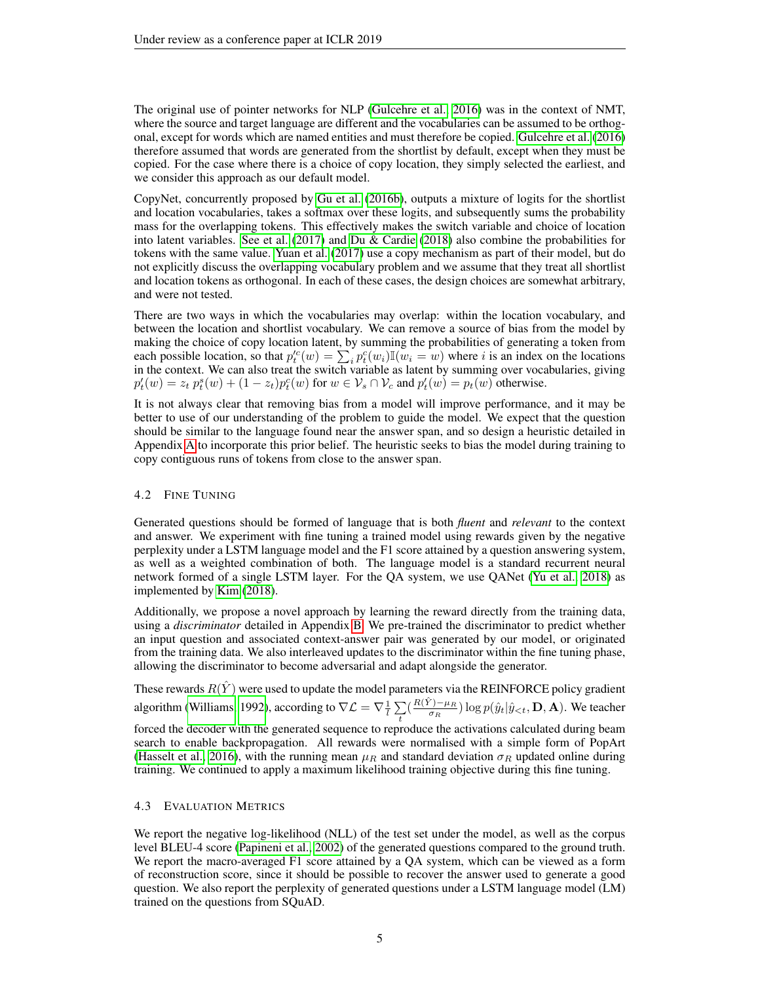The original use of pointer networks for NLP [\(Gulcehre et al., 2016\)](#page-9-1) was in the context of NMT, where the source and target language are different and the vocabularies can be assumed to be orthogonal, except for words which are named entities and must therefore be copied. [Gulcehre et al.](#page-9-1) [\(2016\)](#page-9-1) therefore assumed that words are generated from the shortlist by default, except when they must be copied. For the case where there is a choice of copy location, they simply selected the earliest, and we consider this approach as our default model.

CopyNet, concurrently proposed by [Gu et al.](#page-9-10) [\(2016b\)](#page-9-10), outputs a mixture of logits for the shortlist and location vocabularies, takes a softmax over these logits, and subsequently sums the probability mass for the overlapping tokens. This effectively makes the switch variable and choice of location into latent variables. [See et al.](#page-10-5) [\(2017\)](#page-10-5) and [Du & Cardie](#page-8-2) [\(2018\)](#page-8-2) also combine the probabilities for tokens with the same value. [Yuan et al.](#page-11-3) [\(2017\)](#page-11-3) use a copy mechanism as part of their model, but do not explicitly discuss the overlapping vocabulary problem and we assume that they treat all shortlist and location tokens as orthogonal. In each of these cases, the design choices are somewhat arbitrary, and were not tested.

There are two ways in which the vocabularies may overlap: within the location vocabulary, and between the location and shortlist vocabulary. We can remove a source of bias from the model by making the choice of copy location latent, by summing the probabilities of generating a token from each possible location, so that  $p_t^{\prime c}(w) = \sum_i p_t^c(w_i) \mathbb{I}(w_i = w)$  where i is an index on the locations in the context. We can also treat the switch variable as latent by summing over vocabularies, giving  $p'_t(w) = z_t p_t^s(w) + (1 - z_t) p_t^c(w)$  for  $w \in V_s \cap V_c$  and  $p'_t(w) = p_t(w)$  otherwise.

It is not always clear that removing bias from a model will improve performance, and it may be better to use of our understanding of the problem to guide the model. We expect that the question should be similar to the language found near the answer span, and so design a heuristic detailed in Appendix [A](#page-12-1) to incorporate this prior belief. The heuristic seeks to bias the model during training to copy contiguous runs of tokens from close to the answer span.

### 4.2 FINE TUNING

Generated questions should be formed of language that is both *fluent* and *relevant* to the context and answer. We experiment with fine tuning a trained model using rewards given by the negative perplexity under a LSTM language model and the F1 score attained by a question answering system, as well as a weighted combination of both. The language model is a standard recurrent neural network formed of a single LSTM layer. For the QA system, we use QANet [\(Yu et al., 2018\)](#page-11-0) as implemented by [Kim](#page-9-11) [\(2018\)](#page-9-11).

Additionally, we propose a novel approach by learning the reward directly from the training data, using a *discriminator* detailed in Appendix [B.](#page-12-2) We pre-trained the discriminator to predict whether an input question and associated context-answer pair was generated by our model, or originated from the training data. We also interleaved updates to the discriminator within the fine tuning phase, allowing the discriminator to become adversarial and adapt alongside the generator.

These rewards  $R(\hat{Y})$  were used to update the model parameters via the REINFORCE policy gradient algorithm [\(Williams, 1992\)](#page-11-13), according to  $\nabla \mathcal{L} = \nabla \frac{1}{l} \sum_{i=1}^{l}$  $\sum_{t} \Bigl( \frac{R(\hat{Y}) - \mu_R}{\sigma_R}$  $(\frac{\partial f - \mu_R}{\partial R}) \log p(\hat{y}_t | \hat{y}_{\leq t}, \mathbf{D}, \mathbf{A}).$  We teacher forced the decoder with the generated sequence to reproduce the activations calculated during beam search to enable backpropagation. All rewards were normalised with a simple form of PopArt [\(Hasselt et al., 2016\)](#page-9-12), with the running mean  $\mu_R$  and standard deviation  $\sigma_R$  updated online during training. We continued to apply a maximum likelihood training objective during this fine tuning.

#### 4.3 EVALUATION METRICS

We report the negative log-likelihood (NLL) of the test set under the model, as well as the corpus level BLEU-4 score [\(Papineni et al., 2002\)](#page-10-12) of the generated questions compared to the ground truth. We report the macro-averaged F1 score attained by a QA system, which can be viewed as a form of reconstruction score, since it should be possible to recover the answer used to generate a good question. We also report the perplexity of generated questions under a LSTM language model (LM) trained on the questions from SQuAD.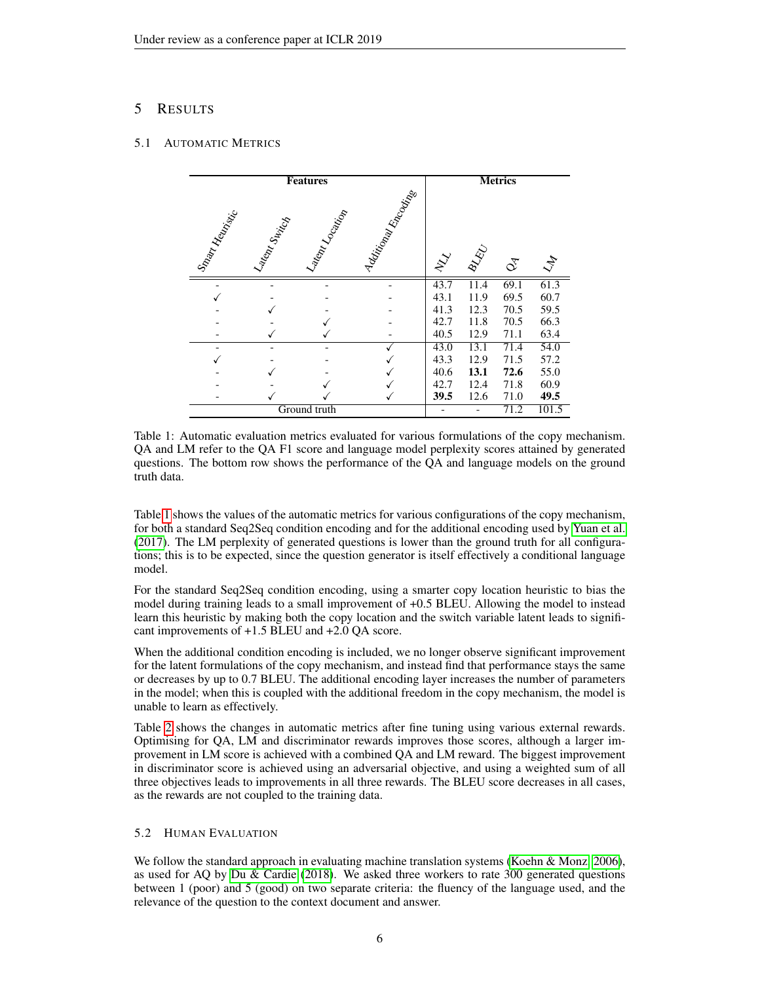# 5 RESULTS

### <span id="page-5-0"></span>5.1 AUTOMATIC METRICS

| <b>Features</b> |              |                 | <b>Metrics</b>   |                     |      |                |       |
|-----------------|--------------|-----------------|------------------|---------------------|------|----------------|-------|
| Smart Henrick   | Latem Switch | Latent Location | I ddirigategoria | $\hat{\mathcal{X}}$ | BLAD | $\vec{\infty}$ | $z^2$ |
|                 |              |                 |                  | 43.7                | 11.4 | 69.1           | 61.3  |
|                 |              |                 |                  | 43.1                | 11.9 | 69.5           | 60.7  |
|                 |              |                 |                  | 41.3                | 12.3 | 70.5           | 59.5  |
|                 |              |                 |                  | 42.7                | 11.8 | 70.5           | 66.3  |
|                 |              |                 |                  | 40.5                | 12.9 | 71.1           | 63.4  |
|                 |              |                 |                  | 43.0                | 13.1 | 71.4           | 54.0  |
|                 |              |                 |                  | 43.3                | 12.9 | 71.5           | 57.2  |
|                 |              |                 |                  | 40.6                | 13.1 | 72.6           | 55.0  |
|                 |              |                 |                  | 42.7                | 12.4 | 71.8           | 60.9  |
|                 |              |                 |                  | 39.5                | 12.6 | 71.0           | 49.5  |
|                 |              | Ground truth    |                  |                     |      | 71.2           | 101.5 |

Table 1: Automatic evaluation metrics evaluated for various formulations of the copy mechanism. QA and LM refer to the QA F1 score and language model perplexity scores attained by generated questions. The bottom row shows the performance of the QA and language models on the ground truth data.

Table [1](#page-5-0) shows the values of the automatic metrics for various configurations of the copy mechanism, for both a standard Seq2Seq condition encoding and for the additional encoding used by [Yuan et al.](#page-11-3) [\(2017\)](#page-11-3). The LM perplexity of generated questions is lower than the ground truth for all configurations; this is to be expected, since the question generator is itself effectively a conditional language model.

For the standard Seq2Seq condition encoding, using a smarter copy location heuristic to bias the model during training leads to a small improvement of +0.5 BLEU. Allowing the model to instead learn this heuristic by making both the copy location and the switch variable latent leads to significant improvements of +1.5 BLEU and +2.0 QA score.

When the additional condition encoding is included, we no longer observe significant improvement for the latent formulations of the copy mechanism, and instead find that performance stays the same or decreases by up to 0.7 BLEU. The additional encoding layer increases the number of parameters in the model; when this is coupled with the additional freedom in the copy mechanism, the model is unable to learn as effectively.

Table [2](#page-6-0) shows the changes in automatic metrics after fine tuning using various external rewards. Optimising for QA, LM and discriminator rewards improves those scores, although a larger improvement in LM score is achieved with a combined QA and LM reward. The biggest improvement in discriminator score is achieved using an adversarial objective, and using a weighted sum of all three objectives leads to improvements in all three rewards. The BLEU score decreases in all cases, as the rewards are not coupled to the training data.

# 5.2 HUMAN EVALUATION

We follow the standard approach in evaluating machine translation systems [\(Koehn & Monz, 2006\)](#page-9-13), as used for AQ by [Du & Cardie](#page-8-2) [\(2018\)](#page-8-2). We asked three workers to rate 300 generated questions between 1 (poor) and 5 (good) on two separate criteria: the fluency of the language used, and the relevance of the question to the context document and answer.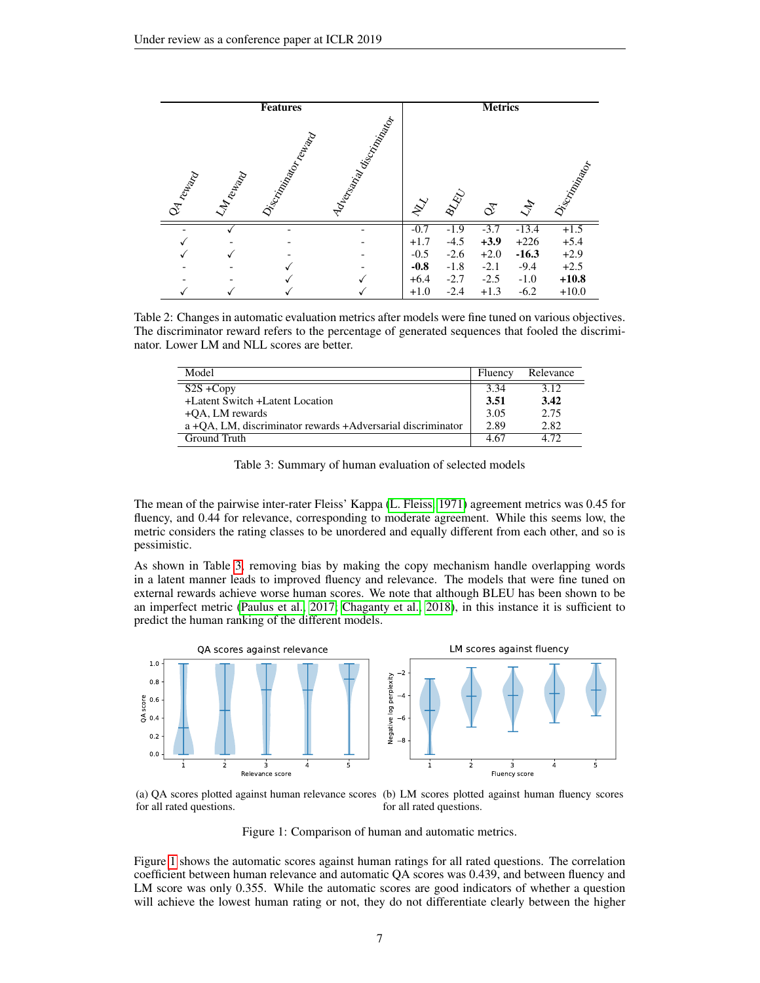<span id="page-6-0"></span>

Table 2: Changes in automatic evaluation metrics after models were fine tuned on various objectives. The discriminator reward refers to the percentage of generated sequences that fooled the discriminator. Lower LM and NLL scores are better.

<span id="page-6-1"></span>

| Model                                                       | Fluency | Relevance |
|-------------------------------------------------------------|---------|-----------|
| $S2S + Copy$                                                | 3.34    | 3.12      |
| +Latent Switch +Latent Location                             | 3.51    | 3.42      |
| $+OA$ , LM rewards                                          | 3.05    | 2.75      |
| a +OA, LM, discriminator rewards +Adversarial discriminator | 2.89    | 2.82      |
| Ground Truth                                                | 4.67    | 4.72      |

Table 3: Summary of human evaluation of selected models

The mean of the pairwise inter-rater Fleiss' Kappa [\(L. Fleiss, 1971\)](#page-10-13) agreement metrics was 0.45 for fluency, and 0.44 for relevance, corresponding to moderate agreement. While this seems low, the metric considers the rating classes to be unordered and equally different from each other, and so is pessimistic.

As shown in Table [3,](#page-6-1) removing bias by making the copy mechanism handle overlapping words in a latent manner leads to improved fluency and relevance. The models that were fine tuned on external rewards achieve worse human scores. We note that although BLEU has been shown to be an imperfect metric [\(Paulus et al., 2017;](#page-10-6) [Chaganty et al., 2018\)](#page-8-13), in this instance it is sufficient to predict the human ranking of the different models.

<span id="page-6-2"></span>

(a) QA scores plotted against human relevance scores (b) LM scores plotted against human fluency scores for all rated questions. for all rated questions.

Figure 1: Comparison of human and automatic metrics.

Figure [1](#page-6-2) shows the automatic scores against human ratings for all rated questions. The correlation coefficient between human relevance and automatic QA scores was 0.439, and between fluency and LM score was only 0.355. While the automatic scores are good indicators of whether a question will achieve the lowest human rating or not, they do not differentiate clearly between the higher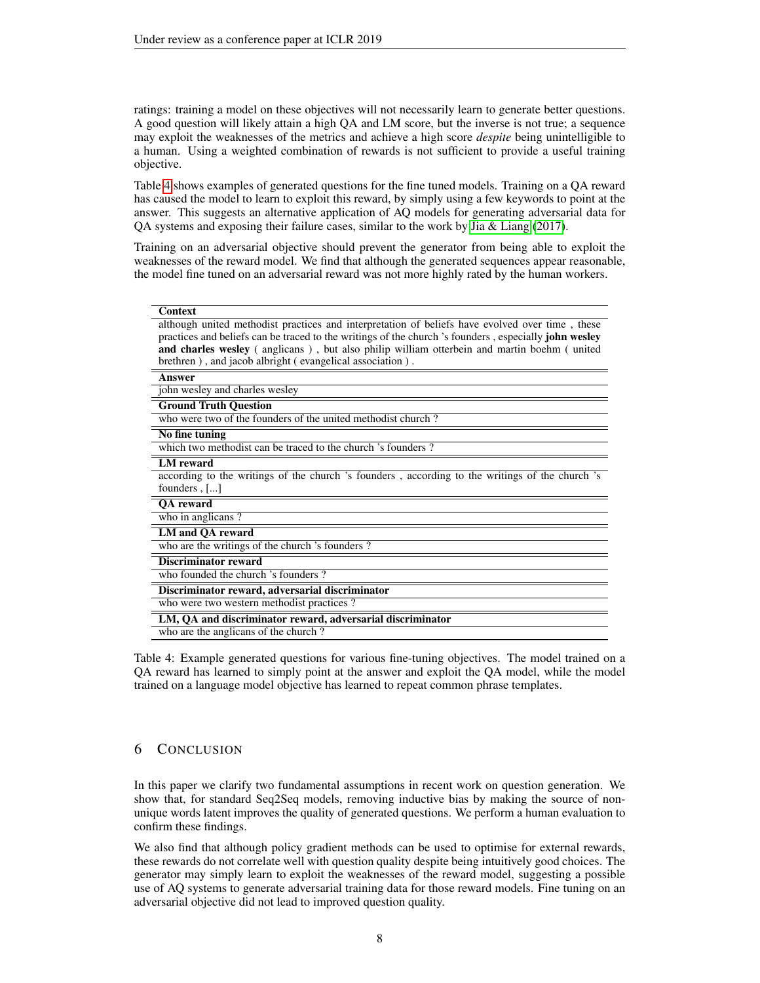ratings: training a model on these objectives will not necessarily learn to generate better questions. A good question will likely attain a high QA and LM score, but the inverse is not true; a sequence may exploit the weaknesses of the metrics and achieve a high score *despite* being unintelligible to a human. Using a weighted combination of rewards is not sufficient to provide a useful training objective.

Table [4](#page-7-0) shows examples of generated questions for the fine tuned models. Training on a QA reward has caused the model to learn to exploit this reward, by simply using a few keywords to point at the answer. This suggests an alternative application of AQ models for generating adversarial data for QA systems and exposing their failure cases, similar to the work by [Jia & Liang](#page-9-14) [\(2017\)](#page-9-14).

Training on an adversarial objective should prevent the generator from being able to exploit the weaknesses of the reward model. We find that although the generated sequences appear reasonable, the model fine tuned on an adversarial reward was not more highly rated by the human workers.

<span id="page-7-0"></span>

| <b>Context</b>                                                                                               |  |  |  |
|--------------------------------------------------------------------------------------------------------------|--|--|--|
| although united methodist practices and interpretation of beliefs have evolved over time, these              |  |  |  |
| practices and beliefs can be traced to the writings of the church 's founders, especially <b>john wesley</b> |  |  |  |
| and charles wesley (anglicans), but also philip william otterbein and martin boehm (united                   |  |  |  |
| brethren), and jacob albright (evangelical association).                                                     |  |  |  |
| Answer                                                                                                       |  |  |  |
| john wesley and charles wesley                                                                               |  |  |  |
| <b>Ground Truth Question</b>                                                                                 |  |  |  |
| who were two of the founders of the united methodist church?                                                 |  |  |  |
| No fine tuning                                                                                               |  |  |  |
| which two methodist can be traced to the church 's founders ?                                                |  |  |  |
| <b>LM</b> reward                                                                                             |  |  |  |
| according to the writings of the church 's founders, according to the writings of the church 's              |  |  |  |
| founders, []                                                                                                 |  |  |  |
| QA reward                                                                                                    |  |  |  |
| who in anglicans?                                                                                            |  |  |  |
| LM and OA reward                                                                                             |  |  |  |
| who are the writings of the church 's founders ?                                                             |  |  |  |
| <b>Discriminator reward</b>                                                                                  |  |  |  |
| who founded the church 's founders ?                                                                         |  |  |  |
| Discriminator reward, adversarial discriminator                                                              |  |  |  |
| who were two western methodist practices?                                                                    |  |  |  |
| LM, QA and discriminator reward, adversarial discriminator                                                   |  |  |  |
| who are the anglicans of the church?                                                                         |  |  |  |

Table 4: Example generated questions for various fine-tuning objectives. The model trained on a QA reward has learned to simply point at the answer and exploit the QA model, while the model trained on a language model objective has learned to repeat common phrase templates.

# 6 CONCLUSION

In this paper we clarify two fundamental assumptions in recent work on question generation. We show that, for standard Seq2Seq models, removing inductive bias by making the source of nonunique words latent improves the quality of generated questions. We perform a human evaluation to confirm these findings.

We also find that although policy gradient methods can be used to optimise for external rewards, these rewards do not correlate well with question quality despite being intuitively good choices. The generator may simply learn to exploit the weaknesses of the reward model, suggesting a possible use of AQ systems to generate adversarial training data for those reward models. Fine tuning on an adversarial objective did not lead to improved question quality.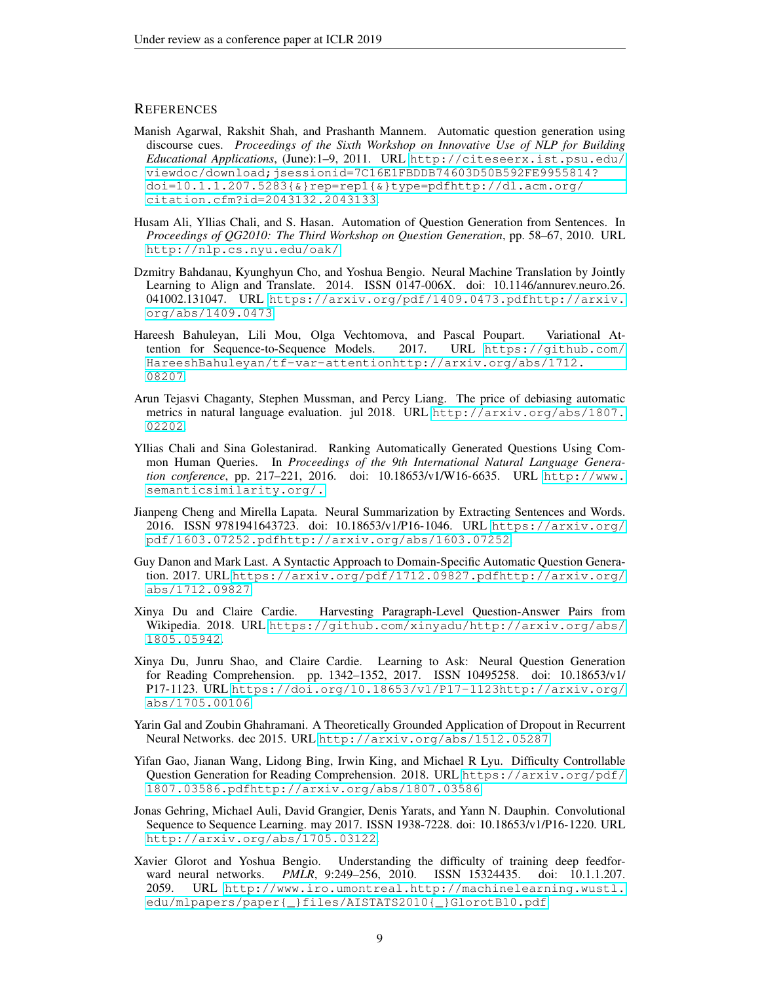# **REFERENCES**

- <span id="page-8-5"></span>Manish Agarwal, Rakshit Shah, and Prashanth Mannem. Automatic question generation using discourse cues. *Proceedings of the Sixth Workshop on Innovative Use of NLP for Building Educational Applications*, (June):1–9, 2011. URL [http://citeseerx.ist.psu.edu/](http://citeseerx.ist.psu.edu/viewdoc/download;jsessionid=7C16E1FBDDB74603D50B592FE9955814?doi=10.1.1.207.5283{&}rep=rep1{&}type=pdf http://dl.acm.org/citation.cfm?id=2043132.2043133) [viewdoc/download;jsessionid=7C16E1FBDDB74603D50B592FE9955814?](http://citeseerx.ist.psu.edu/viewdoc/download;jsessionid=7C16E1FBDDB74603D50B592FE9955814?doi=10.1.1.207.5283{&}rep=rep1{&}type=pdf http://dl.acm.org/citation.cfm?id=2043132.2043133) [doi=10.1.1.207.5283{&}rep=rep1{&}type=pdfhttp://dl.acm.org/](http://citeseerx.ist.psu.edu/viewdoc/download;jsessionid=7C16E1FBDDB74603D50B592FE9955814?doi=10.1.1.207.5283{&}rep=rep1{&}type=pdf http://dl.acm.org/citation.cfm?id=2043132.2043133) [citation.cfm?id=2043132.2043133](http://citeseerx.ist.psu.edu/viewdoc/download;jsessionid=7C16E1FBDDB74603D50B592FE9955814?doi=10.1.1.207.5283{&}rep=rep1{&}type=pdf http://dl.acm.org/citation.cfm?id=2043132.2043133).
- <span id="page-8-6"></span>Husam Ali, Yllias Chali, and S. Hasan. Automation of Question Generation from Sentences. In *Proceedings of QG2010: The Third Workshop on Question Generation*, pp. 58–67, 2010. URL <http://nlp.cs.nyu.edu/oak/>.
- <span id="page-8-0"></span>Dzmitry Bahdanau, Kyunghyun Cho, and Yoshua Bengio. Neural Machine Translation by Jointly Learning to Align and Translate. 2014. ISSN 0147-006X. doi: 10.1146/annurev.neuro.26. 041002.131047. URL [https://arxiv.org/pdf/1409.0473.pdfhttp://arxiv.](https://arxiv.org/pdf/1409.0473.pdf http://arxiv.org/abs/1409.0473) [org/abs/1409.0473](https://arxiv.org/pdf/1409.0473.pdf http://arxiv.org/abs/1409.0473).
- <span id="page-8-9"></span>Hareesh Bahuleyan, Lili Mou, Olga Vechtomova, and Pascal Poupart. Variational Attention for Sequence-to-Sequence Models. 2017. URL [https://github.com/](https://github.com/HareeshBahuleyan/tf-var-attention http://arxiv.org/abs/1712.08207) [HareeshBahuleyan/tf-var-attentionhttp://arxiv.org/abs/1712.](https://github.com/HareeshBahuleyan/tf-var-attention http://arxiv.org/abs/1712.08207) [08207](https://github.com/HareeshBahuleyan/tf-var-attention http://arxiv.org/abs/1712.08207).
- <span id="page-8-13"></span>Arun Tejasvi Chaganty, Stephen Mussman, and Percy Liang. The price of debiasing automatic metrics in natural language evaluation. jul 2018. URL [http://arxiv.org/abs/1807.](http://arxiv.org/abs/1807.02202) [02202](http://arxiv.org/abs/1807.02202).
- <span id="page-8-8"></span>Yllias Chali and Sina Golestanirad. Ranking Automatically Generated Questions Using Common Human Queries. In *Proceedings of the 9th International Natural Language Generation conference*, pp. 217–221, 2016. doi: 10.18653/v1/W16-6635. URL [http://www.](http://www.semanticsimilarity.org/.) [semanticsimilarity.org/.](http://www.semanticsimilarity.org/.)
- <span id="page-8-4"></span>Jianpeng Cheng and Mirella Lapata. Neural Summarization by Extracting Sentences and Words. 2016. ISSN 9781941643723. doi: 10.18653/v1/P16-1046. URL [https://arxiv.org/](https://arxiv.org/pdf/1603.07252.pdf http://arxiv.org/abs/1603.07252) [pdf/1603.07252.pdfhttp://arxiv.org/abs/1603.07252](https://arxiv.org/pdf/1603.07252.pdf http://arxiv.org/abs/1603.07252).
- <span id="page-8-7"></span>Guy Danon and Mark Last. A Syntactic Approach to Domain-Specific Automatic Question Generation. 2017. URL [https://arxiv.org/pdf/1712.09827.pdfhttp://arxiv.org/](https://arxiv.org/pdf/1712.09827.pdf http://arxiv.org/abs/1712.09827) [abs/1712.09827](https://arxiv.org/pdf/1712.09827.pdf http://arxiv.org/abs/1712.09827).
- <span id="page-8-2"></span>Xinya Du and Claire Cardie. Harvesting Paragraph-Level Question-Answer Pairs from Wikipedia. 2018. URL [https://github.com/xinyadu/http://arxiv.org/abs/](https://github.com/xinyadu/ http://arxiv.org/abs/1805.05942) [1805.05942](https://github.com/xinyadu/ http://arxiv.org/abs/1805.05942).
- <span id="page-8-1"></span>Xinya Du, Junru Shao, and Claire Cardie. Learning to Ask: Neural Question Generation for Reading Comprehension. pp. 1342–1352, 2017. ISSN 10495258. doi: 10.18653/v1/ P17-1123. URL [https://doi.org/10.18653/v1/P17-1123http://arxiv.org/](https://doi.org/10.18653/v1/P17-1123 http://arxiv.org/abs/1705.00106) [abs/1705.00106](https://doi.org/10.18653/v1/P17-1123 http://arxiv.org/abs/1705.00106).
- <span id="page-8-12"></span>Yarin Gal and Zoubin Ghahramani. A Theoretically Grounded Application of Dropout in Recurrent Neural Networks. dec 2015. URL <http://arxiv.org/abs/1512.05287>.
- <span id="page-8-10"></span>Yifan Gao, Jianan Wang, Lidong Bing, Irwin King, and Michael R Lyu. Difficulty Controllable Question Generation for Reading Comprehension. 2018. URL [https://arxiv.org/pdf/](https://arxiv.org/pdf/1807.03586.pdf http://arxiv.org/abs/1807.03586) [1807.03586.pdfhttp://arxiv.org/abs/1807.03586](https://arxiv.org/pdf/1807.03586.pdf http://arxiv.org/abs/1807.03586).
- <span id="page-8-3"></span>Jonas Gehring, Michael Auli, David Grangier, Denis Yarats, and Yann N. Dauphin. Convolutional Sequence to Sequence Learning. may 2017. ISSN 1938-7228. doi: 10.18653/v1/P16-1220. URL <http://arxiv.org/abs/1705.03122>.
- <span id="page-8-11"></span>Xavier Glorot and Yoshua Bengio. Understanding the difficulty of training deep feedforward neural networks. *PMLR*, 9:249–256, 2010. ISSN 15324435. doi: 10.1.1.207. 2059. URL [http://www.iro.umontreal.http://machinelearning.wustl.](http://www.iro.umontreal. http://machinelearning.wustl.edu/mlpapers/paper{_}files/AISTATS2010{_}GlorotB10.pdf) [edu/mlpapers/paper{\\_}files/AISTATS2010{\\_}GlorotB10.pdf](http://www.iro.umontreal. http://machinelearning.wustl.edu/mlpapers/paper{_}files/AISTATS2010{_}GlorotB10.pdf).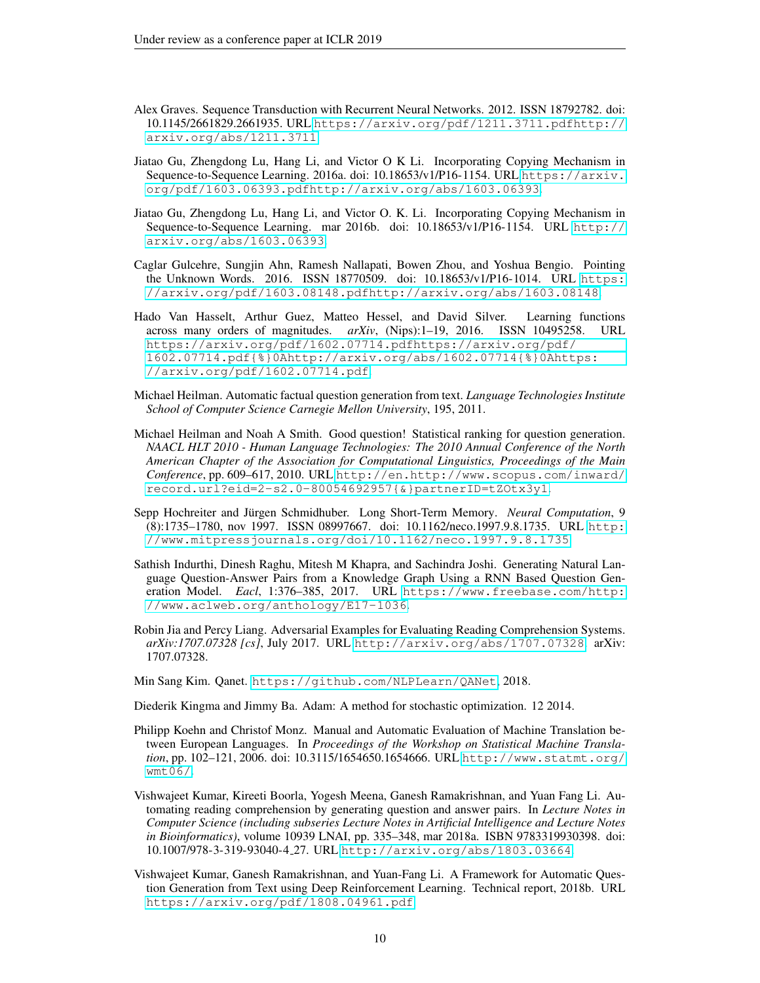- <span id="page-9-9"></span>Alex Graves. Sequence Transduction with Recurrent Neural Networks. 2012. ISSN 18792782. doi: 10.1145/2661829.2661935. URL [https://arxiv.org/pdf/1211.3711.pdfhttp://](https://arxiv.org/pdf/1211.3711.pdf http://arxiv.org/abs/1211.3711) [arxiv.org/abs/1211.3711](https://arxiv.org/pdf/1211.3711.pdf http://arxiv.org/abs/1211.3711).
- <span id="page-9-3"></span>Jiatao Gu, Zhengdong Lu, Hang Li, and Victor O K Li. Incorporating Copying Mechanism in Sequence-to-Sequence Learning. 2016a. doi: 10.18653/v1/P16-1154. URL [https://arxiv.](https://arxiv.org/pdf/1603.06393.pdf http://arxiv.org/abs/1603.06393) [org/pdf/1603.06393.pdfhttp://arxiv.org/abs/1603.06393](https://arxiv.org/pdf/1603.06393.pdf http://arxiv.org/abs/1603.06393).
- <span id="page-9-10"></span>Jiatao Gu, Zhengdong Lu, Hang Li, and Victor O. K. Li. Incorporating Copying Mechanism in Sequence-to-Sequence Learning. mar 2016b. doi: 10.18653/v1/P16-1154. URL [http://](http://arxiv.org/abs/1603.06393) [arxiv.org/abs/1603.06393](http://arxiv.org/abs/1603.06393).
- <span id="page-9-1"></span>Caglar Gulcehre, Sungjin Ahn, Ramesh Nallapati, Bowen Zhou, and Yoshua Bengio. Pointing the Unknown Words. 2016. ISSN 18770509. doi: 10.18653/v1/P16-1014. URL [https:](https://arxiv.org/pdf/1603.08148.pdf http://arxiv.org/abs/1603.08148) [//arxiv.org/pdf/1603.08148.pdfhttp://arxiv.org/abs/1603.08148](https://arxiv.org/pdf/1603.08148.pdf http://arxiv.org/abs/1603.08148).
- <span id="page-9-12"></span>Hado Van Hasselt, Arthur Guez, Matteo Hessel, and David Silver. Learning functions across many orders of magnitudes. *arXiv*, (Nips):1–19, 2016. ISSN 10495258. URL [https://arxiv.org/pdf/1602.07714.pdfhttps://arxiv.org/pdf/](https://arxiv.org/pdf/1602.07714.pdf https://arxiv.org/pdf/1602.07714.pdf{%}0Ahttp://arxiv.org/abs/1602.07714{%}0Ahttps://arxiv.org/pdf/1602.07714.pdf) [1602.07714.pdf{%}0Ahttp://arxiv.org/abs/1602.07714{%}0Ahttps:](https://arxiv.org/pdf/1602.07714.pdf https://arxiv.org/pdf/1602.07714.pdf{%}0Ahttp://arxiv.org/abs/1602.07714{%}0Ahttps://arxiv.org/pdf/1602.07714.pdf) [//arxiv.org/pdf/1602.07714.pdf](https://arxiv.org/pdf/1602.07714.pdf https://arxiv.org/pdf/1602.07714.pdf{%}0Ahttp://arxiv.org/abs/1602.07714{%}0Ahttps://arxiv.org/pdf/1602.07714.pdf).
- <span id="page-9-4"></span>Michael Heilman. Automatic factual question generation from text. *Language Technologies Institute School of Computer Science Carnegie Mellon University*, 195, 2011.
- <span id="page-9-0"></span>Michael Heilman and Noah A Smith. Good question! Statistical ranking for question generation. *NAACL HLT 2010 - Human Language Technologies: The 2010 Annual Conference of the North American Chapter of the Association for Computational Linguistics, Proceedings of the Main Conference*, pp. 609–617, 2010. URL [http://en.http://www.scopus.com/inward/](http://en. http://www.scopus.com/inward/record.url?eid=2-s2.0-80054692957{&}partnerID=tZOtx3y1) [record.url?eid=2-s2.0-80054692957{&}partnerID=tZOtx3y1](http://en. http://www.scopus.com/inward/record.url?eid=2-s2.0-80054692957{&}partnerID=tZOtx3y1).
- <span id="page-9-7"></span>Sepp Hochreiter and Jürgen Schmidhuber. Long Short-Term Memory. Neural Computation, 9 (8):1735–1780, nov 1997. ISSN 08997667. doi: 10.1162/neco.1997.9.8.1735. URL [http:](http://www.mitpressjournals.org/doi/10.1162/neco.1997.9.8.1735) [//www.mitpressjournals.org/doi/10.1162/neco.1997.9.8.1735](http://www.mitpressjournals.org/doi/10.1162/neco.1997.9.8.1735).
- <span id="page-9-5"></span>Sathish Indurthi, Dinesh Raghu, Mitesh M Khapra, and Sachindra Joshi. Generating Natural Language Question-Answer Pairs from a Knowledge Graph Using a RNN Based Question Generation Model. *Eacl*, 1:376–385, 2017. URL [https://www.freebase.com/http:](https://www.freebase.com/ http://www.aclweb.org/anthology/E17-1036) [//www.aclweb.org/anthology/E17-1036](https://www.freebase.com/ http://www.aclweb.org/anthology/E17-1036).
- <span id="page-9-14"></span>Robin Jia and Percy Liang. Adversarial Examples for Evaluating Reading Comprehension Systems. *arXiv:1707.07328 [cs]*, July 2017. URL <http://arxiv.org/abs/1707.07328>. arXiv: 1707.07328.
- <span id="page-9-11"></span>Min Sang Kim. Qanet. <https://github.com/NLPLearn/QANet>, 2018.

<span id="page-9-8"></span>Diederik Kingma and Jimmy Ba. Adam: A method for stochastic optimization. 12 2014.

- <span id="page-9-13"></span>Philipp Koehn and Christof Monz. Manual and Automatic Evaluation of Machine Translation between European Languages. In *Proceedings of the Workshop on Statistical Machine Translation*, pp. 102–121, 2006. doi: 10.3115/1654650.1654666. URL [http://www.statmt.org/](http://www.statmt.org/wmt06/) [wmt06/](http://www.statmt.org/wmt06/).
- <span id="page-9-2"></span>Vishwajeet Kumar, Kireeti Boorla, Yogesh Meena, Ganesh Ramakrishnan, and Yuan Fang Li. Automating reading comprehension by generating question and answer pairs. In *Lecture Notes in Computer Science (including subseries Lecture Notes in Artificial Intelligence and Lecture Notes in Bioinformatics)*, volume 10939 LNAI, pp. 335–348, mar 2018a. ISBN 9783319930398. doi: 10.1007/978-3-319-93040-4 27. URL <http://arxiv.org/abs/1803.03664>.
- <span id="page-9-6"></span>Vishwajeet Kumar, Ganesh Ramakrishnan, and Yuan-Fang Li. A Framework for Automatic Question Generation from Text using Deep Reinforcement Learning. Technical report, 2018b. URL <https://arxiv.org/pdf/1808.04961.pdf>.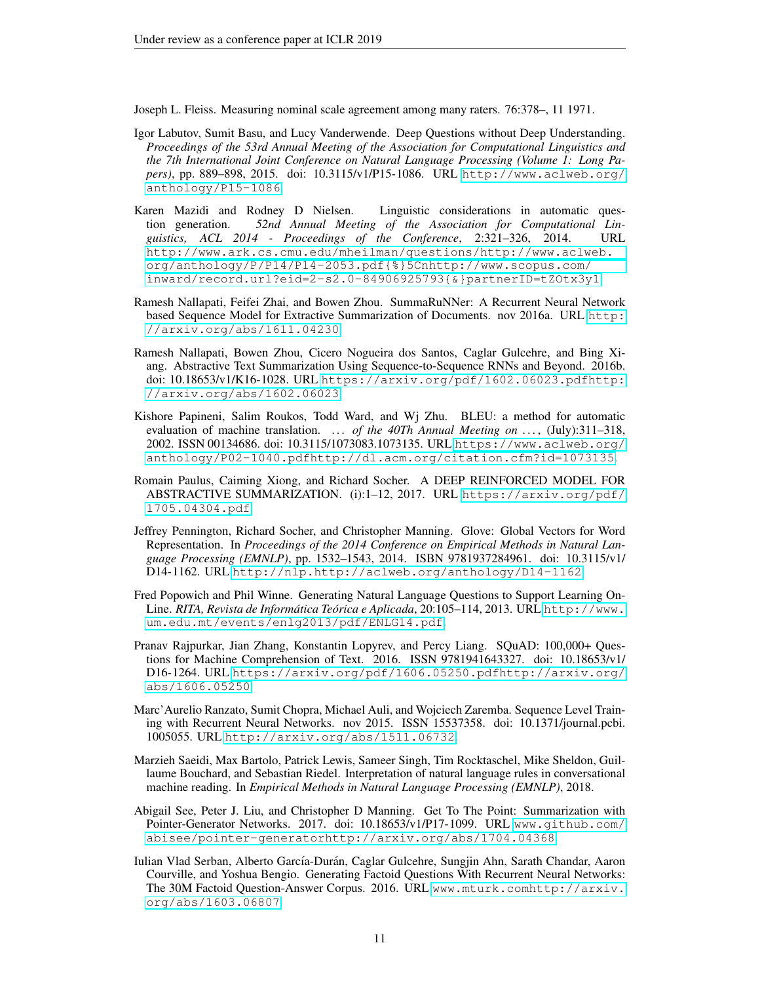<span id="page-10-13"></span>Joseph L. Fleiss. Measuring nominal scale agreement among many raters. 76:378–, 11 1971.

- <span id="page-10-8"></span>Igor Labutov, Sumit Basu, and Lucy Vanderwende. Deep Questions without Deep Understanding. *Proceedings of the 53rd Annual Meeting of the Association for Computational Linguistics and the 7th International Joint Conference on Natural Language Processing (Volume 1: Long Papers)*, pp. 889–898, 2015. doi: 10.3115/v1/P15-1086. URL [http://www.aclweb.org/](http://www.aclweb.org/anthology/P15-1086) [anthology/P15-1086](http://www.aclweb.org/anthology/P15-1086).
- <span id="page-10-9"></span>Karen Mazidi and Rodney D Nielsen. Linguistic considerations in automatic question generation. *52nd Annual Meeting of the Association for Computational Linguistics, ACL 2014 - Proceedings of the Conference*, 2:321–326, 2014. URL [http://www.ark.cs.cmu.edu/mheilman/questions/http://www.aclweb.](http://www.ark.cs.cmu.edu/mheilman/questions/ http://www.aclweb.org/anthology/P/P14/P14-2053.pdf{%}5Cnhttp://www.scopus.com/inward/record.url?eid=2-s2.0-84906925793{&}partnerID=tZOtx3y1) [org/anthology/P/P14/P14-2053.pdf{%}5Cnhttp://www.scopus.com/](http://www.ark.cs.cmu.edu/mheilman/questions/ http://www.aclweb.org/anthology/P/P14/P14-2053.pdf{%}5Cnhttp://www.scopus.com/inward/record.url?eid=2-s2.0-84906925793{&}partnerID=tZOtx3y1) [inward/record.url?eid=2-s2.0-84906925793{&}partnerID=tZOtx3y1](http://www.ark.cs.cmu.edu/mheilman/questions/ http://www.aclweb.org/anthology/P/P14/P14-2053.pdf{%}5Cnhttp://www.scopus.com/inward/record.url?eid=2-s2.0-84906925793{&}partnerID=tZOtx3y1).
- <span id="page-10-3"></span>Ramesh Nallapati, Feifei Zhai, and Bowen Zhou. SummaRuNNer: A Recurrent Neural Network based Sequence Model for Extractive Summarization of Documents. nov 2016a. URL [http:](http://arxiv.org/abs/1611.04230) [//arxiv.org/abs/1611.04230](http://arxiv.org/abs/1611.04230).
- <span id="page-10-4"></span>Ramesh Nallapati, Bowen Zhou, Cicero Nogueira dos Santos, Caglar Gulcehre, and Bing Xiang. Abstractive Text Summarization Using Sequence-to-Sequence RNNs and Beyond. 2016b. doi: 10.18653/v1/K16-1028. URL [https://arxiv.org/pdf/1602.06023.pdfhttp:](https://arxiv.org/pdf/1602.06023.pdf http://arxiv.org/abs/1602.06023) [//arxiv.org/abs/1602.06023](https://arxiv.org/pdf/1602.06023.pdf http://arxiv.org/abs/1602.06023).
- <span id="page-10-12"></span>Kishore Papineni, Salim Roukos, Todd Ward, and Wj Zhu. BLEU: a method for automatic evaluation of machine translation. ... of the 40Th Annual Meeting on ..., (July):311-318, 2002. ISSN 00134686. doi: 10.3115/1073083.1073135. URL [https://www.aclweb.org/](https://www.aclweb.org/anthology/P02-1040.pdf http://dl.acm.org/citation.cfm?id=1073135) [anthology/P02-1040.pdfhttp://dl.acm.org/citation.cfm?id=1073135](https://www.aclweb.org/anthology/P02-1040.pdf http://dl.acm.org/citation.cfm?id=1073135).
- <span id="page-10-6"></span>Romain Paulus, Caiming Xiong, and Richard Socher. A DEEP REINFORCED MODEL FOR ABSTRACTIVE SUMMARIZATION. (i):1–12, 2017. URL [https://arxiv.org/pdf/](https://arxiv.org/pdf/1705.04304.pdf) [1705.04304.pdf](https://arxiv.org/pdf/1705.04304.pdf).
- <span id="page-10-11"></span>Jeffrey Pennington, Richard Socher, and Christopher Manning. Glove: Global Vectors for Word Representation. In *Proceedings of the 2014 Conference on Empirical Methods in Natural Language Processing (EMNLP)*, pp. 1532–1543, 2014. ISBN 9781937284961. doi: 10.3115/v1/ D14-1162. URL [http://nlp.http://aclweb.org/anthology/D14-1162](http://nlp. http://aclweb.org/anthology/D14-1162).
- <span id="page-10-7"></span>Fred Popowich and Phil Winne. Generating Natural Language Questions to Support Learning On-Line. *RITA, Revista de Informatica Te ´ orica e Aplicada ´* , 20:105–114, 2013. URL [http://www.](http://www.um.edu.mt/events/enlg2013/pdf/ENLG14.pdf) [um.edu.mt/events/enlg2013/pdf/ENLG14.pdf](http://www.um.edu.mt/events/enlg2013/pdf/ENLG14.pdf).
- <span id="page-10-1"></span>Pranav Rajpurkar, Jian Zhang, Konstantin Lopyrev, and Percy Liang. SQuAD: 100,000+ Questions for Machine Comprehension of Text. 2016. ISSN 9781941643327. doi: 10.18653/v1/ D16-1264. URL [https://arxiv.org/pdf/1606.05250.pdfhttp://arxiv.org/](https://arxiv.org/pdf/1606.05250.pdf http://arxiv.org/abs/1606.05250) [abs/1606.05250](https://arxiv.org/pdf/1606.05250.pdf http://arxiv.org/abs/1606.05250).
- <span id="page-10-2"></span>Marc'Aurelio Ranzato, Sumit Chopra, Michael Auli, and Wojciech Zaremba. Sequence Level Training with Recurrent Neural Networks. nov 2015. ISSN 15537358. doi: 10.1371/journal.pcbi. 1005055. URL <http://arxiv.org/abs/1511.06732>.
- <span id="page-10-0"></span>Marzieh Saeidi, Max Bartolo, Patrick Lewis, Sameer Singh, Tim Rocktaschel, Mike Sheldon, Guillaume Bouchard, and Sebastian Riedel. Interpretation of natural language rules in conversational machine reading. In *Empirical Methods in Natural Language Processing (EMNLP)*, 2018.
- <span id="page-10-5"></span>Abigail See, Peter J. Liu, and Christopher D Manning. Get To The Point: Summarization with Pointer-Generator Networks. 2017. doi: 10.18653/v1/P17-1099. URL [www.github.com/](www.github.com/abisee/pointer-generator http://arxiv.org/abs/1704.04368) [abisee/pointer-generatorhttp://arxiv.org/abs/1704.04368](www.github.com/abisee/pointer-generator http://arxiv.org/abs/1704.04368).
- <span id="page-10-10"></span>Iulian Vlad Serban, Alberto García-Durán, Caglar Gulcehre, Sungjin Ahn, Sarath Chandar, Aaron Courville, and Yoshua Bengio. Generating Factoid Questions With Recurrent Neural Networks: The 30M Factoid Question-Answer Corpus. 2016. URL [www.mturk.comhttp://arxiv.](www.mturk.com http://arxiv.org/abs/1603.06807) [org/abs/1603.06807](www.mturk.com http://arxiv.org/abs/1603.06807).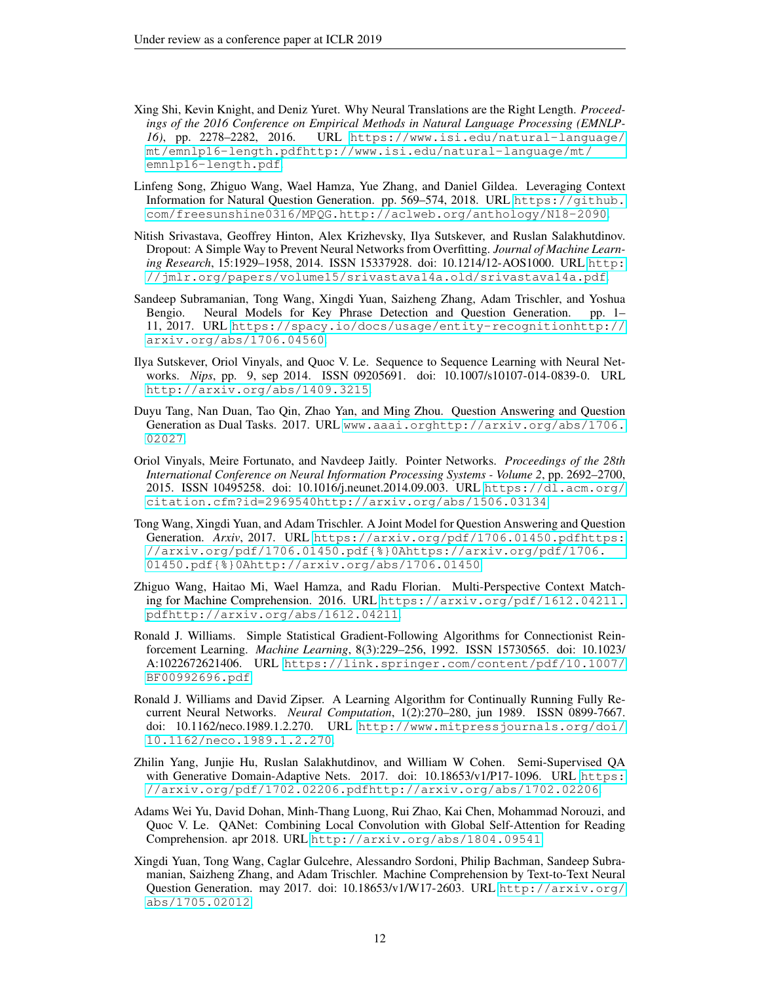- <span id="page-11-4"></span>Xing Shi, Kevin Knight, and Deniz Yuret. Why Neural Translations are the Right Length. *Proceedings of the 2016 Conference on Empirical Methods in Natural Language Processing (EMNLP-16)*, pp. 2278–2282, 2016. URL [https://www.isi.edu/natural-language/](https://www.isi.edu/natural-language/mt/emnlp16-length.pdf http://www.isi.edu/natural-language/mt/emnlp16-length.pdf) [mt/emnlp16-length.pdfhttp://www.isi.edu/natural-language/mt/](https://www.isi.edu/natural-language/mt/emnlp16-length.pdf http://www.isi.edu/natural-language/mt/emnlp16-length.pdf) [emnlp16-length.pdf](https://www.isi.edu/natural-language/mt/emnlp16-length.pdf http://www.isi.edu/natural-language/mt/emnlp16-length.pdf).
- <span id="page-11-10"></span>Linfeng Song, Zhiguo Wang, Wael Hamza, Yue Zhang, and Daniel Gildea. Leveraging Context Information for Natural Question Generation. pp. 569–574, 2018. URL [https://github.](https://github.com/freesunshine0316/MPQG. http://aclweb.org/anthology/N18-2090) [com/freesunshine0316/MPQG.http://aclweb.org/anthology/N18-2090](https://github.com/freesunshine0316/MPQG. http://aclweb.org/anthology/N18-2090).
- <span id="page-11-12"></span>Nitish Srivastava, Geoffrey Hinton, Alex Krizhevsky, Ilya Sutskever, and Ruslan Salakhutdinov. Dropout: A Simple Way to Prevent Neural Networks from Overfitting. *Journal of Machine Learning Research*, 15:1929–1958, 2014. ISSN 15337928. doi: 10.1214/12-AOS1000. URL [http:](http://jmlr.org/papers/volume15/srivastava14a.old/srivastava14a.pdf) [//jmlr.org/papers/volume15/srivastava14a.old/srivastava14a.pdf](http://jmlr.org/papers/volume15/srivastava14a.old/srivastava14a.pdf).
- <span id="page-11-9"></span>Sandeep Subramanian, Tong Wang, Xingdi Yuan, Saizheng Zhang, Adam Trischler, and Yoshua Bengio. Neural Models for Key Phrase Detection and Question Generation. pp. 1– 11, 2017. URL [https://spacy.io/docs/usage/entity-recognitionhttp://](https://spacy.io/docs/usage/entity-recognition http://arxiv.org/abs/1706.04560) [arxiv.org/abs/1706.04560](https://spacy.io/docs/usage/entity-recognition http://arxiv.org/abs/1706.04560).
- <span id="page-11-1"></span>Ilya Sutskever, Oriol Vinyals, and Quoc V. Le. Sequence to Sequence Learning with Neural Networks. *Nips*, pp. 9, sep 2014. ISSN 09205691. doi: 10.1007/s10107-014-0839-0. URL <http://arxiv.org/abs/1409.3215>.
- <span id="page-11-7"></span>Duyu Tang, Nan Duan, Tao Qin, Zhao Yan, and Ming Zhou. Question Answering and Question Generation as Dual Tasks. 2017. URL [www.aaai.orghttp://arxiv.org/abs/1706.](www.aaai.org http://arxiv.org/abs/1706.02027) [02027](www.aaai.org http://arxiv.org/abs/1706.02027).
- <span id="page-11-2"></span>Oriol Vinyals, Meire Fortunato, and Navdeep Jaitly. Pointer Networks. *Proceedings of the 28th International Conference on Neural Information Processing Systems - Volume 2*, pp. 2692–2700, 2015. ISSN 10495258. doi: 10.1016/j.neunet.2014.09.003. URL [https://dl.acm.org/](https://dl.acm.org/citation.cfm?id=2969540 http://arxiv.org/abs/1506.03134) [citation.cfm?id=2969540http://arxiv.org/abs/1506.03134](https://dl.acm.org/citation.cfm?id=2969540 http://arxiv.org/abs/1506.03134).
- <span id="page-11-6"></span>Tong Wang, Xingdi Yuan, and Adam Trischler. A Joint Model for Question Answering and Question Generation. *Arxiv*, 2017. URL [https://arxiv.org/pdf/1706.01450.pdfhttps:](https://arxiv.org/pdf/1706.01450.pdf https://arxiv.org/pdf/1706.01450.pdf{%}0Ahttps://arxiv.org/pdf/1706.01450.pdf{%}0Ahttp://arxiv.org/abs/1706.01450) [//arxiv.org/pdf/1706.01450.pdf{%}0Ahttps://arxiv.org/pdf/1706.](https://arxiv.org/pdf/1706.01450.pdf https://arxiv.org/pdf/1706.01450.pdf{%}0Ahttps://arxiv.org/pdf/1706.01450.pdf{%}0Ahttp://arxiv.org/abs/1706.01450) [01450.pdf{%}0Ahttp://arxiv.org/abs/1706.01450](https://arxiv.org/pdf/1706.01450.pdf https://arxiv.org/pdf/1706.01450.pdf{%}0Ahttps://arxiv.org/pdf/1706.01450.pdf{%}0Ahttp://arxiv.org/abs/1706.01450).
- <span id="page-11-11"></span>Zhiguo Wang, Haitao Mi, Wael Hamza, and Radu Florian. Multi-Perspective Context Matching for Machine Comprehension. 2016. URL [https://arxiv.org/pdf/1612.04211.](https://arxiv.org/pdf/1612.04211.pdf http://arxiv.org/abs/1612.04211) [pdfhttp://arxiv.org/abs/1612.04211](https://arxiv.org/pdf/1612.04211.pdf http://arxiv.org/abs/1612.04211).
- <span id="page-11-13"></span>Ronald J. Williams. Simple Statistical Gradient-Following Algorithms for Connectionist Reinforcement Learning. *Machine Learning*, 8(3):229–256, 1992. ISSN 15730565. doi: 10.1023/ A:1022672621406. URL [https://link.springer.com/content/pdf/10.1007/](https://link.springer.com/content/pdf/10.1007/BF00992696.pdf) [BF00992696.pdf](https://link.springer.com/content/pdf/10.1007/BF00992696.pdf).
- <span id="page-11-5"></span>Ronald J. Williams and David Zipser. A Learning Algorithm for Continually Running Fully Recurrent Neural Networks. *Neural Computation*, 1(2):270–280, jun 1989. ISSN 0899-7667. doi: 10.1162/neco.1989.1.2.270. URL [http://www.mitpressjournals.org/doi/](http://www.mitpressjournals.org/doi/10.1162/neco.1989.1.2.270) [10.1162/neco.1989.1.2.270](http://www.mitpressjournals.org/doi/10.1162/neco.1989.1.2.270).
- <span id="page-11-8"></span>Zhilin Yang, Junjie Hu, Ruslan Salakhutdinov, and William W Cohen. Semi-Supervised QA with Generative Domain-Adaptive Nets. 2017. doi: 10.18653/v1/P17-1096. URL [https:](https://arxiv.org/pdf/1702.02206.pdf http://arxiv.org/abs/1702.02206) [//arxiv.org/pdf/1702.02206.pdfhttp://arxiv.org/abs/1702.02206](https://arxiv.org/pdf/1702.02206.pdf http://arxiv.org/abs/1702.02206).
- <span id="page-11-0"></span>Adams Wei Yu, David Dohan, Minh-Thang Luong, Rui Zhao, Kai Chen, Mohammad Norouzi, and Quoc V. Le. QANet: Combining Local Convolution with Global Self-Attention for Reading Comprehension. apr 2018. URL <http://arxiv.org/abs/1804.09541>.
- <span id="page-11-3"></span>Xingdi Yuan, Tong Wang, Caglar Gulcehre, Alessandro Sordoni, Philip Bachman, Sandeep Subramanian, Saizheng Zhang, and Adam Trischler. Machine Comprehension by Text-to-Text Neural Question Generation. may 2017. doi: 10.18653/v1/W17-2603. URL [http://arxiv.org/](http://arxiv.org/abs/1705.02012) [abs/1705.02012](http://arxiv.org/abs/1705.02012).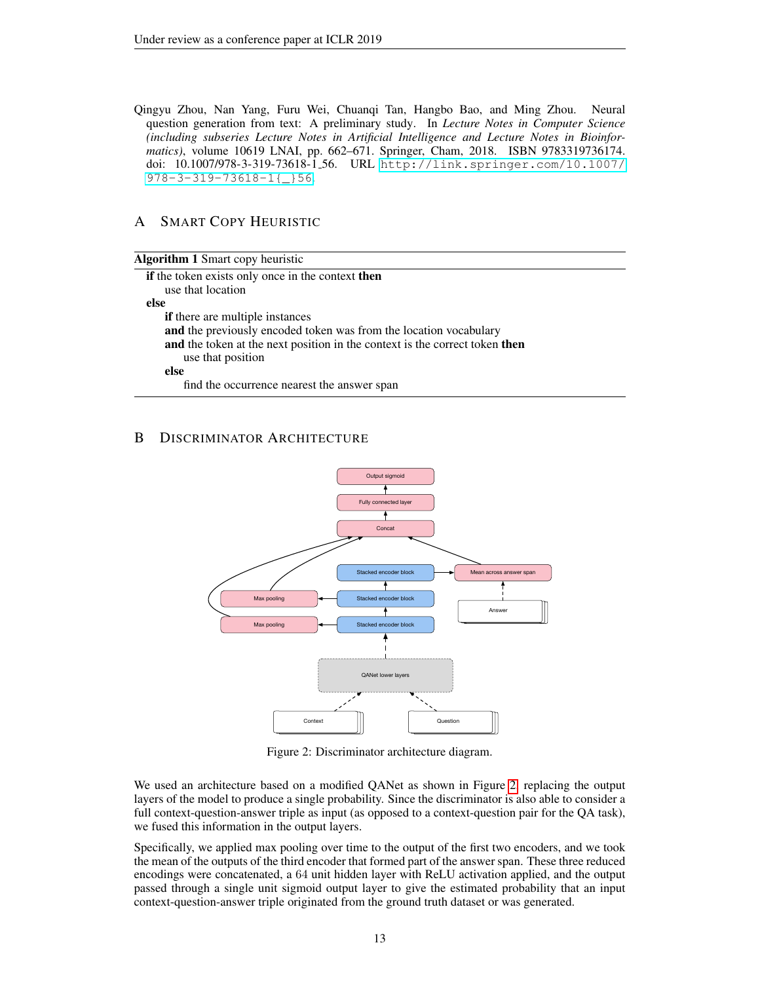<span id="page-12-0"></span>Qingyu Zhou, Nan Yang, Furu Wei, Chuanqi Tan, Hangbo Bao, and Ming Zhou. Neural question generation from text: A preliminary study. In *Lecture Notes in Computer Science (including subseries Lecture Notes in Artificial Intelligence and Lecture Notes in Bioinformatics)*, volume 10619 LNAI, pp. 662–671. Springer, Cham, 2018. ISBN 9783319736174. doi: 10.1007/978-3-319-73618-1 56. URL [http://link.springer.com/10.1007/](http://link.springer.com/10.1007/978-3-319-73618-1{_}56) [978-3-319-73618-1{\\_}56](http://link.springer.com/10.1007/978-3-319-73618-1{_}56).

# <span id="page-12-1"></span>A SMART COPY HEURISTIC

| <b>Algorithm 1</b> Smart copy heuristic                                     |
|-----------------------------------------------------------------------------|
| if the token exists only once in the context then                           |
| use that location                                                           |
| else                                                                        |
| if there are multiple instances                                             |
| and the previously encoded token was from the location vocabulary           |
| and the token at the next position in the context is the correct token then |
| use that position                                                           |
| else                                                                        |
| find the occurrence nearest the answer span                                 |
|                                                                             |

# <span id="page-12-3"></span><span id="page-12-2"></span>B DISCRIMINATOR ARCHITECTURE



Figure 2: Discriminator architecture diagram.

We used an architecture based on a modified QANet as shown in Figure [2,](#page-12-3) replacing the output layers of the model to produce a single probability. Since the discriminator is also able to consider a full context-question-answer triple as input (as opposed to a context-question pair for the QA task), we fused this information in the output layers.

Specifically, we applied max pooling over time to the output of the first two encoders, and we took the mean of the outputs of the third encoder that formed part of the answer span. These three reduced encodings were concatenated, a 64 unit hidden layer with ReLU activation applied, and the output passed through a single unit sigmoid output layer to give the estimated probability that an input context-question-answer triple originated from the ground truth dataset or was generated.